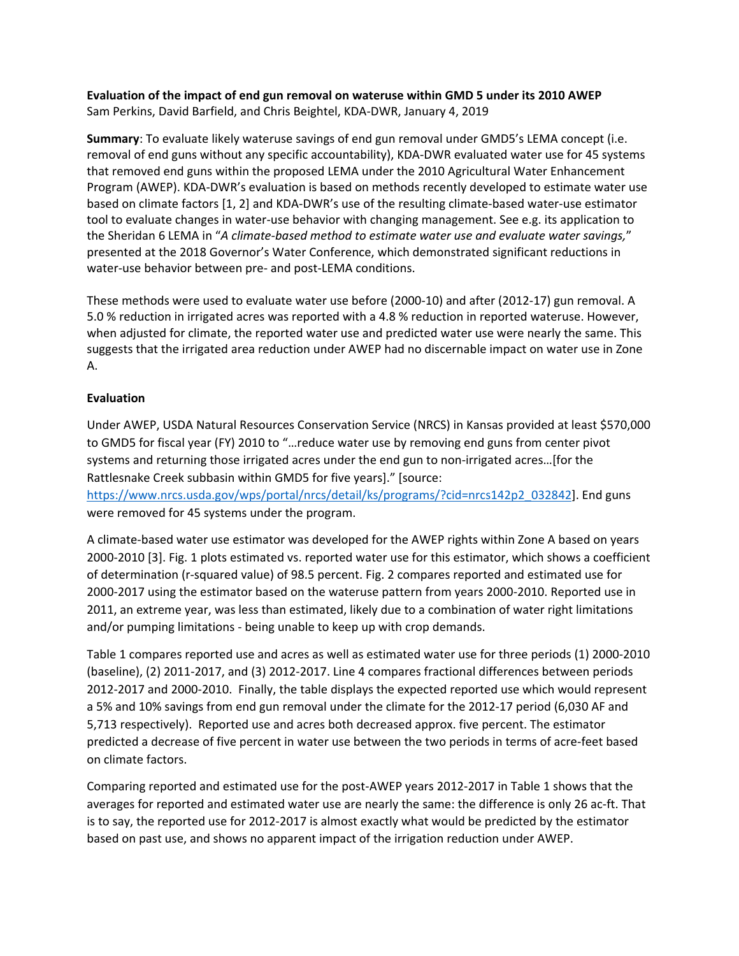## **Evaluation of the impact of end gun removal on wateruse within GMD 5 under its 2010 AWEP**  Sam Perkins, David Barfield, and Chris Beightel, KDA‐DWR, January 4, 2019

**Summary**: To evaluate likely wateruse savings of end gun removal under GMD5's LEMA concept (i.e. removal of end guns without any specific accountability), KDA‐DWR evaluated water use for 45 systems that removed end guns within the proposed LEMA under the 2010 Agricultural Water Enhancement Program (AWEP). KDA‐DWR's evaluation is based on methods recently developed to estimate water use based on climate factors [1, 2] and KDA‐DWR's use of the resulting climate‐based water‐use estimator tool to evaluate changes in water‐use behavior with changing management. See e.g. its application to the Sheridan 6 LEMA in "*A climate‐based method to estimate water use and evaluate water savings,*" presented at the 2018 Governor's Water Conference, which demonstrated significant reductions in water-use behavior between pre- and post-LEMA conditions.

These methods were used to evaluate water use before (2000‐10) and after (2012‐17) gun removal. A 5.0 % reduction in irrigated acres was reported with a 4.8 % reduction in reported wateruse. However, when adjusted for climate, the reported water use and predicted water use were nearly the same. This suggests that the irrigated area reduction under AWEP had no discernable impact on water use in Zone A.

## **Evaluation**

Under AWEP, USDA Natural Resources Conservation Service (NRCS) in Kansas provided at least \$570,000 to GMD5 for fiscal year (FY) 2010 to "…reduce water use by removing end guns from center pivot systems and returning those irrigated acres under the end gun to non-irrigated acres...[for the Rattlesnake Creek subbasin within GMD5 for five years]." [source:

https://www.nrcs.usda.gov/wps/portal/nrcs/detail/ks/programs/?cid=nrcs142p2\_032842]. End guns were removed for 45 systems under the program.

A climate‐based water use estimator was developed for the AWEP rights within Zone A based on years 2000-2010 [3]. Fig. 1 plots estimated vs. reported water use for this estimator, which shows a coefficient of determination (r‐squared value) of 98.5 percent. Fig. 2 compares reported and estimated use for 2000‐2017 using the estimator based on the wateruse pattern from years 2000‐2010. Reported use in 2011, an extreme year, was less than estimated, likely due to a combination of water right limitations and/or pumping limitations ‐ being unable to keep up with crop demands.

Table 1 compares reported use and acres as well as estimated water use for three periods (1) 2000‐2010 (baseline), (2) 2011‐2017, and (3) 2012‐2017. Line 4 compares fractional differences between periods 2012‐2017 and 2000‐2010. Finally, the table displays the expected reported use which would represent a 5% and 10% savings from end gun removal under the climate for the 2012‐17 period (6,030 AF and 5,713 respectively). Reported use and acres both decreased approx. five percent. The estimator predicted a decrease of five percent in water use between the two periods in terms of acre‐feet based on climate factors.

Comparing reported and estimated use for the post‐AWEP years 2012‐2017 in Table 1 shows that the averages for reported and estimated water use are nearly the same: the difference is only 26 ac‐ft. That is to say, the reported use for 2012‐2017 is almost exactly what would be predicted by the estimator based on past use, and shows no apparent impact of the irrigation reduction under AWEP.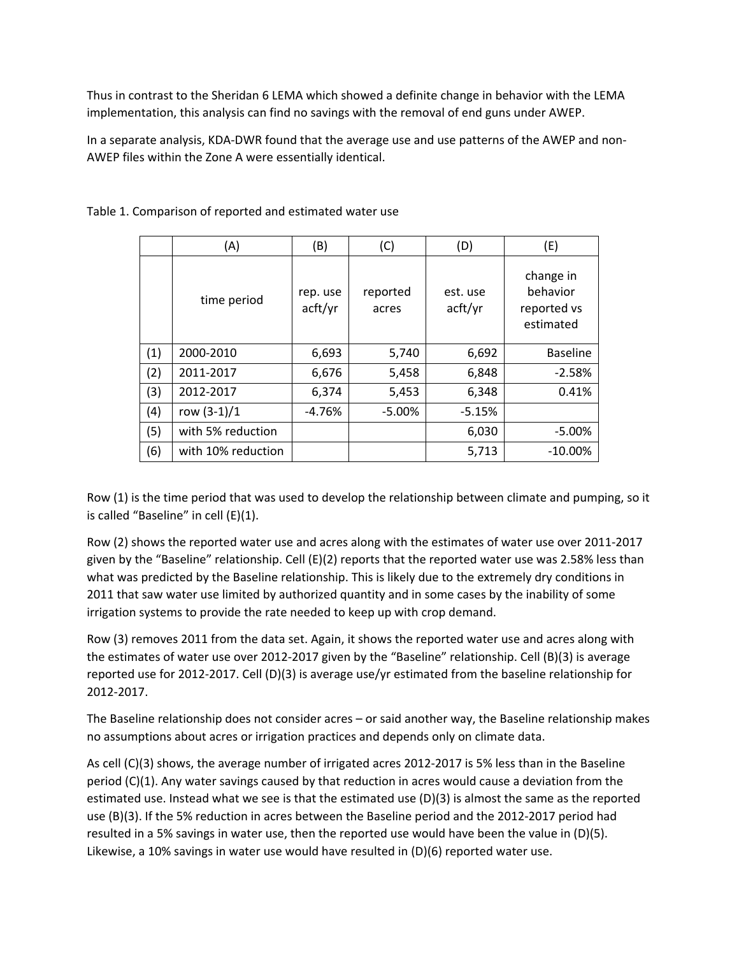Thus in contrast to the Sheridan 6 LEMA which showed a definite change in behavior with the LEMA implementation, this analysis can find no savings with the removal of end guns under AWEP.

In a separate analysis, KDA‐DWR found that the average use and use patterns of the AWEP and non‐ AWEP files within the Zone A were essentially identical.

|     | (A)                | (B)                 | (C)               | (D)                 | (E)                                               |
|-----|--------------------|---------------------|-------------------|---------------------|---------------------------------------------------|
|     | time period        | rep. use<br>acft/yr | reported<br>acres | est. use<br>acft/yr | change in<br>behavior<br>reported vs<br>estimated |
| (1) | 2000-2010          | 6,693               | 5,740             | 6,692               | <b>Baseline</b>                                   |
| (2) | 2011-2017          | 6,676               | 5,458             | 6,848               | $-2.58%$                                          |
| (3) | 2012-2017          | 6,374               | 5,453             | 6,348               | 0.41%                                             |
| (4) | row $(3-1)/1$      | $-4.76%$            | $-5.00%$          | $-5.15%$            |                                                   |
| (5) | with 5% reduction  |                     |                   | 6,030               | $-5.00%$                                          |
| (6) | with 10% reduction |                     |                   | 5,713               | $-10.00\%$                                        |

Table 1. Comparison of reported and estimated water use

Row (1) is the time period that was used to develop the relationship between climate and pumping, so it is called "Baseline" in cell (E)(1).

Row (2) shows the reported water use and acres along with the estimates of water use over 2011‐2017 given by the "Baseline" relationship. Cell (E)(2) reports that the reported water use was 2.58% less than what was predicted by the Baseline relationship. This is likely due to the extremely dry conditions in 2011 that saw water use limited by authorized quantity and in some cases by the inability of some irrigation systems to provide the rate needed to keep up with crop demand.

Row (3) removes 2011 from the data set. Again, it shows the reported water use and acres along with the estimates of water use over 2012‐2017 given by the "Baseline" relationship. Cell (B)(3) is average reported use for 2012‐2017. Cell (D)(3) is average use/yr estimated from the baseline relationship for 2012‐2017.

The Baseline relationship does not consider acres – or said another way, the Baseline relationship makes no assumptions about acres or irrigation practices and depends only on climate data.

As cell (C)(3) shows, the average number of irrigated acres 2012‐2017 is 5% less than in the Baseline period (C)(1). Any water savings caused by that reduction in acres would cause a deviation from the estimated use. Instead what we see is that the estimated use (D)(3) is almost the same as the reported use (B)(3). If the 5% reduction in acres between the Baseline period and the 2012‐2017 period had resulted in a 5% savings in water use, then the reported use would have been the value in (D)(5). Likewise, a 10% savings in water use would have resulted in (D)(6) reported water use.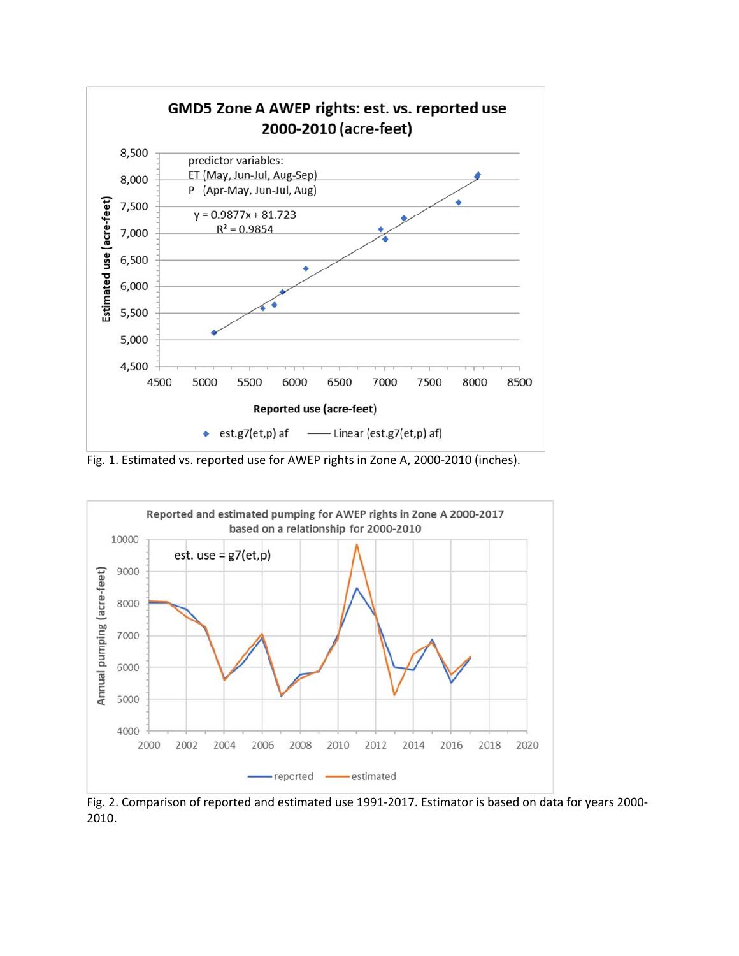

Fig. 1. Estimated vs. reported use for AWEP rights in Zone A, 2000‐2010 (inches).



Fig. 2. Comparison of reported and estimated use 1991‐2017. Estimator is based on data for years 2000‐ 2010.